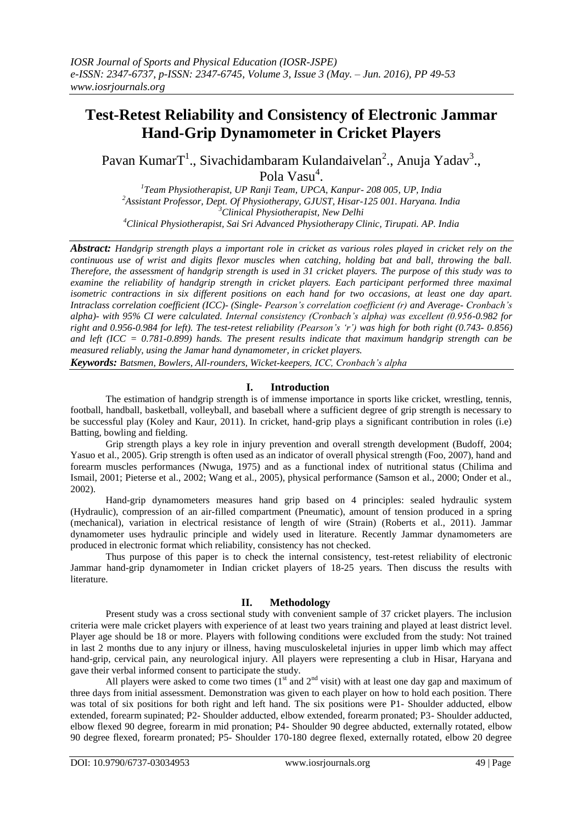# **Test-Retest Reliability and Consistency of Electronic Jammar Hand-Grip Dynamometer in Cricket Players**

Pavan Kumar $T^1$ ., Sivachidambaram Kulandaivelan<sup>2</sup>., Anuja Yadav<sup>3</sup>., Pola Vasu<sup>4</sup>.

 *Team Physiotherapist, UP Ranji Team, UPCA, Kanpur- 208 005, UP, India Assistant Professor, Dept. Of Physiotherapy, GJUST, Hisar-125 001. Haryana. India Clinical Physiotherapist, New Delhi Clinical Physiotherapist, Sai Sri Advanced Physiotherapy Clinic, Tirupati. AP. India*

*Abstract: Handgrip strength plays a important role in cricket as various roles played in cricket rely on the continuous use of wrist and digits flexor muscles when catching, holding bat and ball, throwing the ball. Therefore, the assessment of handgrip strength is used in 31 cricket players. The purpose of this study was to examine the reliability of handgrip strength in cricket players. Each participant performed three maximal isometric contractions in six different positions on each hand for two occasions, at least one day apart. Intraclass correlation coefficient (ICC)- (Single- Pearson's correlation coefficient (r) and Average- Cronbach's alpha)- with 95% CI were calculated. Internal consistency (Cronbach's alpha) was excellent (0.956-0.982 for right and 0.956-0.984 for left). The test-retest reliability (Pearson's 'r') was high for both right (0.743- 0.856) and left (ICC = 0.781-0.899) hands. The present results indicate that maximum handgrip strength can be measured reliably, using the Jamar hand dynamometer, in cricket players.*

*Keywords: Batsmen, Bowlers, All-rounders, Wicket-keepers, ICC, Cronbach's alpha*

# **I. Introduction**

The estimation of handgrip strength is of immense importance in sports like cricket, wrestling, tennis, football, handball, basketball, volleyball, and baseball where a sufficient degree of grip strength is necessary to be successful play (Koley and Kaur, 2011). In cricket, hand-grip plays a significant contribution in roles (i.e) Batting, bowling and fielding.

Grip strength plays a key role in injury prevention and overall strength development (Budoff, 2004; Yasuo et al., 2005). Grip strength is often used as an indicator of overall physical strength (Foo, 2007), hand and forearm muscles performances (Nwuga, 1975) and as a functional index of nutritional status (Chilima and Ismail, 2001; Pieterse et al., 2002; Wang et al., 2005), physical performance (Samson et al., 2000; Onder et al., 2002).

Hand-grip dynamometers measures hand grip based on 4 principles: sealed hydraulic system (Hydraulic), compression of an air-filled compartment (Pneumatic), amount of tension produced in a spring (mechanical), variation in electrical resistance of length of wire (Strain) (Roberts et al., 2011). Jammar dynamometer uses hydraulic principle and widely used in literature. Recently Jammar dynamometers are produced in electronic format which reliability, consistency has not checked.

Thus purpose of this paper is to check the internal consistency, test-retest reliability of electronic Jammar hand-grip dynamometer in Indian cricket players of 18-25 years. Then discuss the results with literature.

## **II. Methodology**

Present study was a cross sectional study with convenient sample of 37 cricket players. The inclusion criteria were male cricket players with experience of at least two years training and played at least district level. Player age should be 18 or more. Players with following conditions were excluded from the study: Not trained in last 2 months due to any injury or illness, having musculoskeletal injuries in upper limb which may affect hand-grip, cervical pain, any neurological injury. All players were representing a club in Hisar, Haryana and gave their verbal informed consent to participate the study.

All players were asked to come two times  $(1<sup>st</sup>$  and  $2<sup>nd</sup>$  visit) with at least one day gap and maximum of three days from initial assessment. Demonstration was given to each player on how to hold each position. There was total of six positions for both right and left hand. The six positions were P1- Shoulder adducted, elbow extended, forearm supinated; P2- Shoulder adducted, elbow extended, forearm pronated; P3- Shoulder adducted, elbow flexed 90 degree, forearm in mid pronation; P4- Shoulder 90 degree abducted, externally rotated, elbow 90 degree flexed, forearm pronated; P5- Shoulder 170-180 degree flexed, externally rotated, elbow 20 degree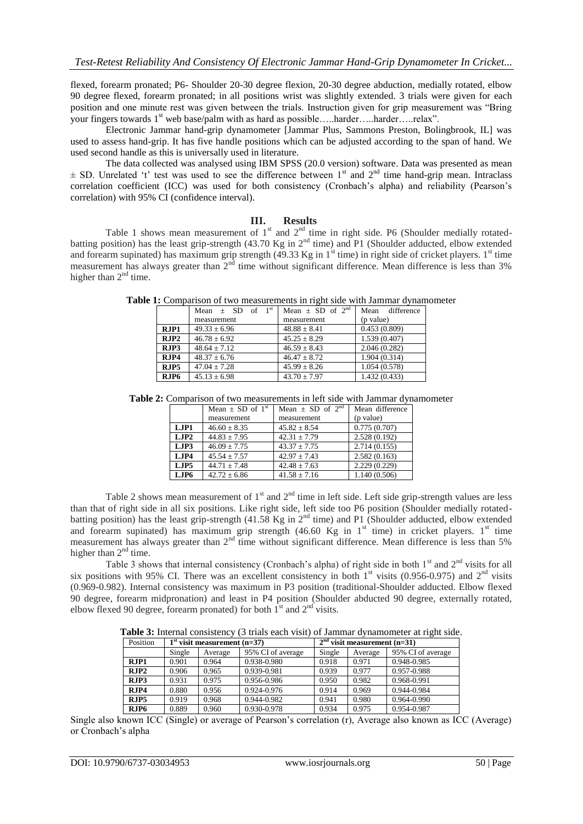flexed, forearm pronated; P6- Shoulder 20-30 degree flexion, 20-30 degree abduction, medially rotated, elbow 90 degree flexed, forearm pronated; in all positions wrist was slightly extended. 3 trials were given for each position and one minute rest was given between the trials. Instruction given for grip measurement was "Bring your fingers towards 1<sup>st</sup> web base/palm with as hard as possible.....harder.....harder.....relax".

Electronic Jammar hand-grip dynamometer [Jammar Plus, Sammons Preston, Bolingbrook, IL] was used to assess hand-grip. It has five handle positions which can be adjusted according to the span of hand. We used second handle as this is universally used in literature.

The data collected was analysed using IBM SPSS (20.0 version) software. Data was presented as mean  $\pm$  SD. Unrelated 't' test was used to see the difference between 1<sup>st</sup> and 2<sup>nd</sup> time hand-grip mean. Intraclass correlation coefficient (ICC) was used for both consistency (Cronbach's alpha) and reliability (Pearson's correlation) with 95% CI (confidence interval).

## **III. Results**

Table 1 shows mean measurement of  $1<sup>st</sup>$  and  $2<sup>nd</sup>$  time in right side. P6 (Shoulder medially rotatedbatting position) has the least grip-strength (43.70 Kg in 2<sup>nd</sup> time) and P1 (Shoulder adducted, elbow extended and forearm supinated) has maximum grip strength (49.33 Kg in 1<sup>st</sup> time) in right side of cricket players. 1<sup>st</sup> time measurement has always greater than  $2<sup>nd</sup>$  time without significant difference. Mean difference is less than 3% higher than  $2<sup>nd</sup>$  time.

|                  | Mean $\pm$ SD of 1 <sup>st</sup> | Mean $\pm$ SD of 2 <sup>nd</sup> | Mean difference |
|------------------|----------------------------------|----------------------------------|-----------------|
|                  | measurement                      | measurement                      | (p value)       |
| $R$ . $IP1$      | $49.33 \pm 6.96$                 | $48.88 + 8.41$                   | 0.453(0.809)    |
| R/IP2            | $46.78 + 6.92$                   | $45.25 + 8.29$                   | 1.539(0.407)    |
| RJP3             | $48.64 + 7.12$                   | $46.59 + 8.43$                   | 2.046(0.282)    |
| $R$ . $IP4$      | $48.37 \pm 6.76$                 | $46.47 \pm 8.72$                 | 1.904(0.314)    |
| RJP5             | $47.04 + 7.28$                   | $45.99 + 8.26$                   | 1.054(0.578)    |
| RJP <sub>6</sub> | $45.13 + 6.98$                   | $43.70 \pm 7.97$                 | 1.432 (0.433)   |

**Table 1:** Comparison of two measurements in right side with Jammar dynamometer

**Table 2:** Comparison of two measurements in left side with Jammar dynamometer

|      | Mean $\pm$ SD of 1 <sup>st</sup> | Mean $\pm$ SD of $2^{nd}$ | Mean difference |
|------|----------------------------------|---------------------------|-----------------|
|      | measurement                      | measurement               | (p value)       |
| LJP1 | $46.60 \pm 8.35$                 | $45.82 + 8.54$            | 0.775(0.707)    |
| LIP2 | $44.83 \pm 7.95$                 | $42.31 \pm 7.79$          | 2.528(0.192)    |
| LJP3 | $46.09 + 7.75$                   | $43.37 \pm 7.75$          | 2.714(0.155)    |
| LJP4 | $45.54 + 7.57$                   | $42.97 + 7.43$            | 2.582(0.163)    |
| LJP5 | $44.71 \pm 7.48$                 | $42.48 + 7.63$            | 2.229(0.229)    |
| LJP6 | $42.72 \pm 6.86$                 | $41.58 \pm 7.16$          | 1.140(0.506)    |

Table 2 shows mean measurement of  $1<sup>st</sup>$  and  $2<sup>nd</sup>$  time in left side. Left side grip-strength values are less than that of right side in all six positions. Like right side, left side too P6 position (Shoulder medially rotatedbatting position) has the least grip-strength (41.58 Kg in 2<sup>nd</sup> time) and P1 (Shoulder adducted, elbow extended and forearm supinated) has maximum grip strength (46.60 Kg in  $1<sup>st</sup>$  time) in cricket players.  $1<sup>st</sup>$  time measurement has always greater than  $2<sup>nd</sup>$  time without significant difference. Mean difference is less than 5% higher than  $2<sup>nd</sup>$  time.

Table 3 shows that internal consistency (Cronbach's alpha) of right side in both  $1<sup>st</sup>$  and  $2<sup>nd</sup>$  visits for all six positions with 95% CI. There was an excellent consistency in both  $1<sup>st</sup>$  visits (0.956-0.975) and  $2<sup>nd</sup>$  visits (0.969-0.982). Internal consistency was maximum in P3 position (traditional-Shoulder adducted. Elbow flexed 90 degree, forearm midpronation) and least in P4 position (Shoulder abducted 90 degree, externally rotated, elbow flexed 90 degree, forearm pronated) for both  $1<sup>st</sup>$  and  $2<sup>nd</sup>$  visits.

**Table 3:** Internal consistency (3 trials each visit) of Jammar dynamometer at right side.

| Position    | $1st$ visit measurement (n=37) |         |                   | $2nd$ visit measurement (n=31) |         |                   |
|-------------|--------------------------------|---------|-------------------|--------------------------------|---------|-------------------|
|             | Single                         | Average | 95% CI of average | Single                         | Average | 95% CI of average |
| $R$ . $IP1$ | 0.901                          | 0.964   | 0.938-0.980       | 0.918                          | 0.971   | 0.948-0.985       |
| RJP2        | 0.906                          | 0.965   | 0.939-0.981       | 0.939                          | 0.977   | 0.957-0.988       |
| RJP3        | 0.931                          | 0.975   | 0.956-0.986       | 0.950                          | 0.982   | 0.968-0.991       |
| $R$ . $IP4$ | 0.880                          | 0.956   | 0.924-0.976       | 0.914                          | 0.969   | 0.944-0.984       |
| RJP5        | 0.919                          | 0.968   | 0.944-0.982       | 0.941                          | 0.980   | 0.964-0.990       |
| RJP6        | 0.889                          | 0.960   | 0.930-0.978       | 0.934                          | 0.975   | 0.954-0.987       |

Single also known ICC (Single) or average of Pearson"s correlation (r), Average also known as ICC (Average) or Cronbach"s alpha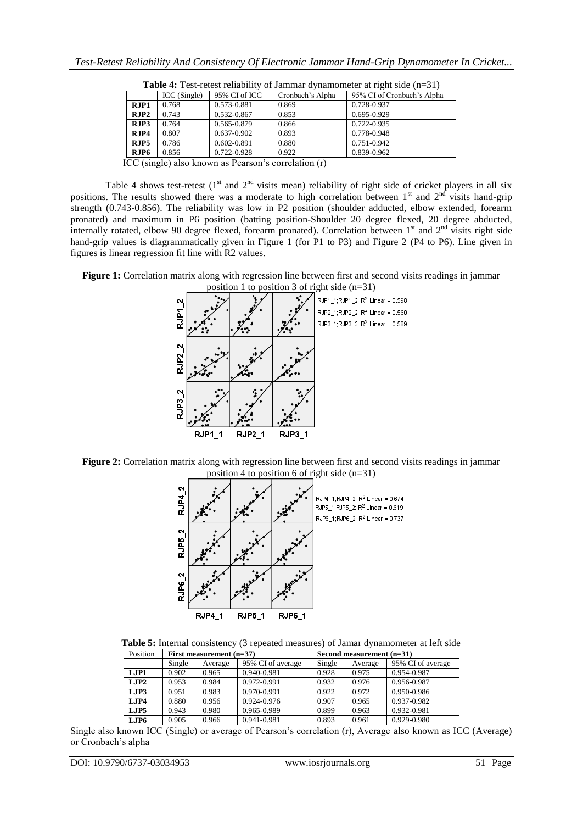|      | ICC (Single) | 95% CI of ICC   | Cronbach's Alpha | 95% CI of Cronbach's Alpha |
|------|--------------|-----------------|------------------|----------------------------|
| RJP1 | 0.768        | 0.573-0.881     | 0.869            | 0.728-0.937                |
| RJP2 | 0.743        | 0.532-0.867     | 0.853            | 0.695-0.929                |
| RJP3 | 0.764        | 0.565-0.879     | 0.866            | 0.722-0.935                |
| RJP4 | 0.807        | $0.637 - 0.902$ | 0.893            | 0.778-0.948                |
| RJP5 | 0.786        | 0.602-0.891     | 0.880            | 0.751-0.942                |
| RJP6 | 0.856        | 0.722-0.928     | 0.922            | 0.839-0.962                |

**Table 4:** Test-retest reliability of Jammar dynamometer at right side (n=31)

ICC (single) also known as Pearson"s correlation (r)

Table 4 shows test-retest  $(1<sup>st</sup>$  and  $2<sup>nd</sup>$  visits mean) reliability of right side of cricket players in all six positions. The results showed there was a moderate to high correlation between  $1<sup>st</sup>$  and  $2<sup>nd</sup>$  visits hand-grip strength (0.743-0.856). The reliability was low in P2 position (shoulder adducted, elbow extended, forearm pronated) and maximum in P6 position (batting position-Shoulder 20 degree flexed, 20 degree abducted, internally rotated, elbow 90 degree flexed, forearm pronated). Correlation between 1<sup>st</sup> and 2<sup>nd</sup> visits right side hand-grip values is diagrammatically given in Figure 1 (for P1 to P3) and Figure 2 (P4 to P6). Line given in figures is linear regression fit line with R2 values.

**Figure 1:** Correlation matrix along with regression line between first and second visits readings in jammar position 1 to position 3 of right side (n=31)



**Figure 2:** Correlation matrix along with regression line between first and second visits readings in jammar position 4 to position 6 of right side (n=31)



**Table 5:** Internal consistency (3 repeated measures) of Jamar dynamometer at left side

| Position | First measurement $(n=37)$ |         |                   | Second measurement $(n=31)$ |         |                   |
|----------|----------------------------|---------|-------------------|-----------------------------|---------|-------------------|
|          | Single                     | Average | 95% CI of average | Single                      | Average | 95% CI of average |
| LIP1     | 0.902                      | 0.965   | 0.940-0.981       | 0.928                       | 0.975   | 0.954-0.987       |
| LIP2     | 0.953                      | 0.984   | 0.972-0.991       | 0.932                       | 0.976   | 0.956-0.987       |
| LJP3     | 0.951                      | 0.983   | 0.970-0.991       | 0.922                       | 0.972   | 0.950-0.986       |
| LJP4     | 0.880                      | 0.956   | 0.924-0.976       | 0.907                       | 0.965   | 0.937-0.982       |
| LIP5     | 0.943                      | 0.980   | 0.965-0.989       | 0.899                       | 0.963   | 0.932-0.981       |
| LJP6     | 0.905                      | 0.966   | 0.941-0.981       | 0.893                       | 0.961   | 0.929-0.980       |

Single also known ICC (Single) or average of Pearson"s correlation (r), Average also known as ICC (Average) or Cronbach"s alpha

DOI: 10.9790/6737-03034953 www.iosrjournals.org 51 | Page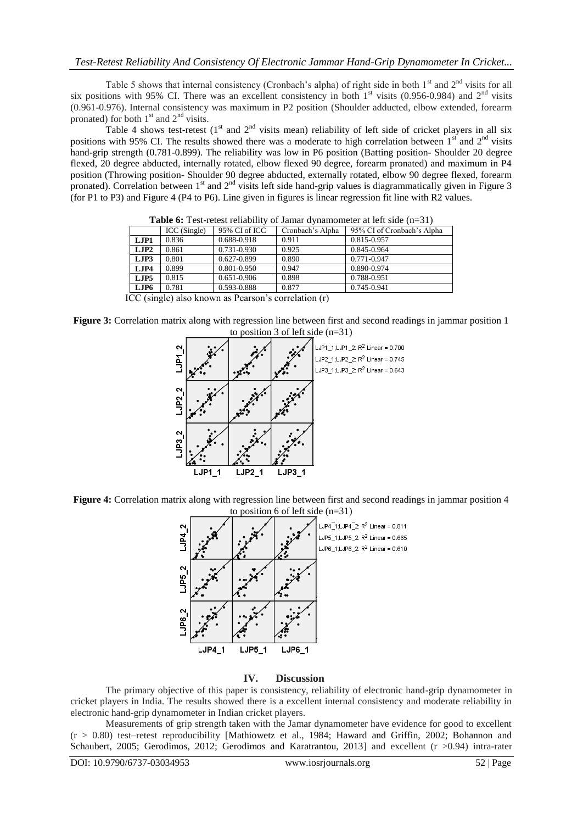Table 5 shows that internal consistency (Cronbach's alpha) of right side in both  $1<sup>st</sup>$  and  $2<sup>nd</sup>$  visits for all six positions with 95% CI. There was an excellent consistency in both  $1<sup>st</sup>$  visits (0.956-0.984) and  $2<sup>nd</sup>$  visits (0.961-0.976). Internal consistency was maximum in P2 position (Shoulder adducted, elbow extended, forearm pronated) for both  $1<sup>st</sup>$  and  $2<sup>nd</sup>$  visits.

Table 4 shows test-retest  $(1<sup>st</sup>$  and  $2<sup>nd</sup>$  visits mean) reliability of left side of cricket players in all six positions with 95% CI. The results showed there was a moderate to high correlation between  $1^{st}$  and  $2^{nd}$  visits hand-grip strength (0.781-0.899). The reliability was low in P6 position (Batting position- Shoulder 20 degree flexed, 20 degree abducted, internally rotated, elbow flexed 90 degree, forearm pronated) and maximum in P4 position (Throwing position- Shoulder 90 degree abducted, externally rotated, elbow 90 degree flexed, forearm pronated). Correlation between  $1^{st}$  and  $2^{nd}$  visits left side hand-grip values is diagrammatically given in Figure 3 (for P1 to P3) and Figure 4 (P4 to P6). Line given in figures is linear regression fit line with R2 values.

| <b>Table 0.</b> Test-retest reliability of Jamar dynamometer at left side (II-31) |             |               |                  |                            |  |  |
|-----------------------------------------------------------------------------------|-------------|---------------|------------------|----------------------------|--|--|
|                                                                                   | ICC(Single) | 95% CI of ICC | Cronbach's Alpha | 95% CI of Cronbach's Alpha |  |  |
| LJP1                                                                              | 0.836       | 0.688-0.918   | 0.911            | 0.815-0.957                |  |  |
| LJP2                                                                              | 0.861       | 0.731-0.930   | 0.925            | 0.845-0.964                |  |  |
| LJP3                                                                              | 0.801       | 0.627-0.899   | 0.890            | 0.771-0.947                |  |  |
| LJP4                                                                              | 0.899       | 0.801-0.950   | 0.947            | 0.890-0.974                |  |  |
| LIP5                                                                              | 0.815       | 0.651-0.906   | 0.898            | 0.788-0.951                |  |  |
| LJP6                                                                              | 0.781       | 0.593-0.888   | 0.877            | 0.745-0.941                |  |  |
| ICC (single) also known as Pearson's correlation (r)                              |             |               |                  |                            |  |  |

 $f_0$ : Tast-retest reliability of Jamar dynamometer at left side  $(n-31)$ 

**Figure 3:** Correlation matrix along with regression line between first and second readings in jammar position 1 to position 3 of left side  $(n=31)$ 



**Figure 4:** Correlation matrix along with regression line between first and second readings in jammar position 4 to position 6 of left side (n=31)



## **IV. Discussion**

The primary objective of this paper is consistency, reliability of electronic hand-grip dynamometer in cricket players in India. The results showed there is a excellent internal consistency and moderate reliability in electronic hand-grip dynamometer in Indian cricket players.

Measurements of grip strength taken with the Jamar dynamometer have evidence for good to excellent  $(r > 0.80)$  test–retest reproducibility [Mathiowetz et al., 1984; Haward and Griffin, 2002; Bohannon and Schaubert, 2005; Gerodimos, 2012; Gerodimos and Karatrantou, 2013] and excellent (r >0.94) intra-rater